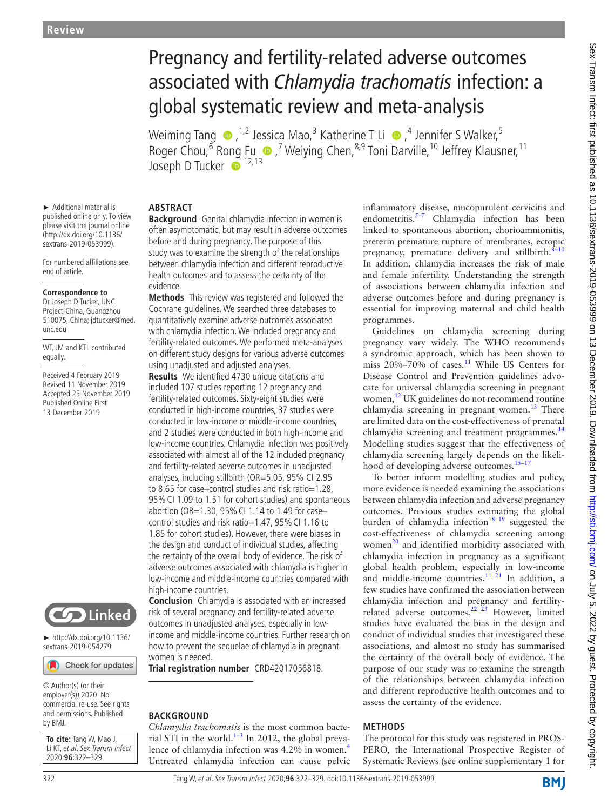# Pregnancy and fertility-related adverse outcomes associated with *Chlamydia trachomatis* infection: a global systematic review and meta-analysis

WeimingTang  $\bigcirc$  , <sup>1,2</sup> Jessica Mao,<sup>3</sup> Katherine T Li  $\bigcirc$  ,<sup>4</sup> Jennifer S Walker,<sup>5</sup> Roger Chou, <sup>6</sup> Ro[ng](http://orcid.org/0000-0003-2804-1181) Fu  $\bullet$ , <sup>7</sup> Weiying Chen, <sup>8,9</sup> Toni Darville, <sup>10</sup> Jeffrey Klausner, <sup>11</sup> Joseph D Tucker  $\bullet$  <sup>12,13</sup>

## **Abstract**

**Background** Genital chlamydia infection in women is often asymptomatic, but may result in adverse outcomes before and during pregnancy. The purpose of this study was to examine the strength of the relationships between chlamydia infection and different reproductive health outcomes and to assess the certainty of the evidence.

**Methods** This review was registered and followed the Cochrane guidelines. We searched three databases to quantitatively examine adverse outcomes associated with chlamydia infection. We included pregnancy and fertility-related outcomes. We performed meta-analyses on different study designs for various adverse outcomes using unadjusted and adjusted analyses.

**Results** We identified 4730 unique citations and included 107 studies reporting 12 pregnancy and fertility-related outcomes. Sixty-eight studies were conducted in high-income countries, 37 studies were conducted in low-income or middle-income countries, and 2 studies were conducted in both high-income and low-income countries. Chlamydia infection was positively associated with almost all of the 12 included pregnancy and fertility-related adverse outcomes in unadjusted analyses, including stillbirth (OR=5.05, 95% CI 2.95 to 8.65 for case–control studies and risk ratio=1.28, 95%CI 1.09 to 1.51 for cohort studies) and spontaneous abortion (OR=1.30, 95%CI 1.14 to 1.49 for case– control studies and risk ratio=1.47, 95% CI 1.16 to 1.85 for cohort studies). However, there were biases in the design and conduct of individual studies, affecting the certainty of the overall body of evidence. The risk of adverse outcomes associated with chlamydia is higher in low-income and middle-income countries compared with high-income countries.

**Conclusion** Chlamydia is associated with an increased risk of several pregnancy and fertility-related adverse outcomes in unadjusted analyses, especially in lowincome and middle-income countries. Further research on how to prevent the sequelae of chlamydia in pregnant women is needed.

**Trial registration number** CRD42017056818.

#### **BACKGROUND**

*Chlamydia trachomatis* is the most common bacte-rial STI in the world.<sup>[1–3](#page-6-0)</sup> In 2012, the global preva-lence of chlamydia infection was [4](#page-6-1).2% in women.<sup>4</sup> Untreated chlamydia infection can cause pelvic inflammatory disease, mucopurulent cervicitis and endometritis.<sup>[5–7](#page-6-2)</sup> Chlamydia infection has been linked to spontaneous abortion, chorioamnionitis, preterm premature rupture of membranes, ectopic pregnancy, premature delivery and stillbirth.<sup>8-10</sup> In addition, chlamydia increases the risk of male and female infertility. Understanding the strength of associations between chlamydia infection and adverse outcomes before and during pregnancy is essential for improving maternal and child health programmes.

Guidelines on chlamydia screening during pregnancy vary widely. The WHO recommends a syndromic approach, which has been shown to miss  $20\% - 70\%$  of cases.<sup>11</sup> While US Centers for Disease Control and Prevention guidelines advocate for universal chlamydia screening in pregnant women,<sup>[12](#page-6-5)</sup> UK guidelines do not recommend routine chlamydia screening in pregnant women.<sup>[13](#page-6-6)</sup> There are limited data on the cost-effectiveness of prenatal chlamydia screening and treatment programmes.<sup>[14](#page-6-7)</sup> Modelling studies suggest that the effectiveness of chlamydia screening largely depends on the likelihood of developing adverse outcomes.<sup>15-17</sup>

To better inform modelling studies and policy, more evidence is needed examining the associations between chlamydia infection and adverse pregnancy outcomes. Previous studies estimating the global burden of chlamydia infection<sup>18</sup> <sup>19</sup> suggested the cost-effectiveness of chlamydia screening among women $^{20}$  and identified morbidity associated with chlamydia infection in pregnancy as a significant global health problem, especially in low-income and middle-income countries.<sup>11 21</sup> In addition, a few studies have confirmed the association between chlamydia infection and pregnancy and fertilityrelated adverse outcomes.<sup>22 23</sup> However, limited studies have evaluated the bias in the design and conduct of individual studies that investigated these associations, and almost no study has summarised the certainty of the overall body of evidence. The purpose of our study was to examine the strength of the relationships between chlamydia infection and different reproductive health outcomes and to assess the certainty of the evidence.

### **Methods**

The protocol for this study was registered in PROS-PERO, the International Prospective Register of Systematic Reviews (see [online supplementary 1](https://dx.doi.org/10.1136/sextrans-2019-053999) for

published online only. To view please visit the journal online (http://dx.doi.org/10.1136/ sextrans-2019-053999).

► Additional material is

For numbered affiliations see end of article.

#### **Correspondence to**

Dr Joseph D Tucker, UNC Project-China, Guangzhou 510075, China; jdtucker@med. unc.edu

WT, JM and KTL contributed equally.

Received 4 February 2019 Revised 11 November 2019 Accepted 25 November 2019 Published Online First 13 December 2019



► [http://dx.doi.org/10.1136/](http://dx.doi.org/10.1136/sextrans-2019-054279) [sextrans-2019-054279](http://dx.doi.org/10.1136/sextrans-2019-054279)

Check for updates

© Author(s) (or their employer(s)) 2020. No commercial re-use. See rights and permissions. Published by BMJ.

**To cite:** Tang W, Mao J, Li KT, et al. Sex Transm Infect 2020;**96**:322–329.

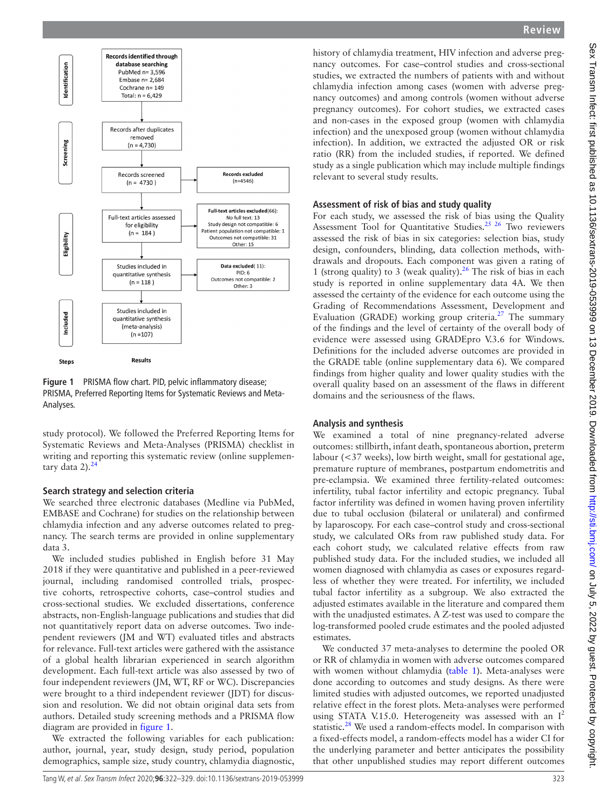

<span id="page-1-0"></span>**Figure 1** PRISMA flow chart. PID, pelvic inflammatory disease; PRISMA, Preferred Reporting Items for Systematic Reviews and Meta-Analyses.

study protocol). We followed the Preferred Reporting Items for Systematic Reviews and Meta-Analyses (PRISMA) checklist in writing and reporting this systematic review [\(online supplemen](https://dx.doi.org/10.1136/sextrans-2019-053999)[tary data 2](https://dx.doi.org/10.1136/sextrans-2019-053999)). $24$ 

#### **Search strategy and selection criteria**

We searched three electronic databases (Medline via PubMed, EMBASE and Cochrane) for studies on the relationship between chlamydia infection and any adverse outcomes related to pregnancy. The search terms are provided in [online supplementary](https://dx.doi.org/10.1136/sextrans-2019-053999)  [data 3.](https://dx.doi.org/10.1136/sextrans-2019-053999)

We included studies published in English before 31 May 2018 if they were quantitative and published in a peer-reviewed journal, including randomised controlled trials, prospective cohorts, retrospective cohorts, case–control studies and cross-sectional studies. We excluded dissertations, conference abstracts, non-English-language publications and studies that did not quantitatively report data on adverse outcomes. Two independent reviewers (JM and WT) evaluated titles and abstracts for relevance. Full-text articles were gathered with the assistance of a global health librarian experienced in search algorithm development. Each full-text article was also assessed by two of four independent reviewers (JM, WT, RF or WC). Discrepancies were brought to a third independent reviewer (JDT) for discussion and resolution. We did not obtain original data sets from authors. Detailed study screening methods and a PRISMA flow diagram are provided in [figure](#page-1-0) 1.

We extracted the following variables for each publication: author, journal, year, study design, study period, population demographics, sample size, study country, chlamydia diagnostic,

history of chlamydia treatment, HIV infection and adverse pregnancy outcomes. For case–control studies and cross-sectional studies, we extracted the numbers of patients with and without chlamydia infection among cases (women with adverse pregnancy outcomes) and among controls (women without adverse pregnancy outcomes). For cohort studies, we extracted cases and non-cases in the exposed group (women with chlamydia infection) and the unexposed group (women without chlamydia infection). In addition, we extracted the adjusted OR or risk ratio (RR) from the included studies, if reported. We defined study as a single publication which may include multiple findings relevant to several study results. **Assessment of risk of bias and study quality** For each study, we assessed the risk of bias using the Quality Assessment Tool for Quantitative Studies.<sup>[25 26](#page-6-13)</sup> Two reviewers assessed the risk of bias in six categories: selection bias, study

design, confounders, blinding, data collection methods, withdrawals and dropouts. Each component was given a rating of 1 (strong quality) to 3 (weak quality).<sup>26</sup> The risk of bias in each study is reported in [online supplementary data 4A.](https://dx.doi.org/10.1136/sextrans-2019-053999) We then assessed the certainty of the evidence for each outcome using the Grading of Recommendations Assessment, Development and Evaluation (GRADE) working group criteria.<sup>27</sup> The summary of the findings and the level of certainty of the overall body of evidence were assessed using GRADEpro V.3.6 for Windows. Definitions for the included adverse outcomes are provided in the GRADE table [\(online supplementary data 6](https://dx.doi.org/10.1136/sextrans-2019-053999)). We compared findings from higher quality and lower quality studies with the overall quality based on an assessment of the flaws in different domains and the seriousness of the flaws.

# **Analysis and synthesis**

We examined a total of nine pregnancy-related adverse outcomes: stillbirth, infant death, spontaneous abortion, preterm labour (<37 weeks), low birth weight, small for gestational age, premature rupture of membranes, postpartum endometritis and pre-eclampsia. We examined three fertility-related outcomes: infertility, tubal factor infertility and ectopic pregnancy. Tubal factor infertility was defined in women having proven infertility due to tubal occlusion (bilateral or unilateral) and confirmed by laparoscopy. For each case–control study and cross-sectional study, we calculated ORs from raw published study data. For each cohort study, we calculated relative effects from raw published study data. For the included studies, we included all women diagnosed with chlamydia as cases or exposures regardless of whether they were treated. For infertility, we included tubal factor infertility as a subgroup. We also extracted the adjusted estimates available in the literature and compared them with the unadjusted estimates. A Z-test was used to compare the log-transformed pooled crude estimates and the pooled adjusted estimates.

We conducted 37 meta-analyses to determine the pooled OR or RR of chlamydia in women with adverse outcomes compared with women without chlamydia ([table](#page-2-0) 1). Meta-analyses were done according to outcomes and study designs. As there were limited studies with adjusted outcomes, we reported unadjusted relative effect in the forest plots. Meta-analyses were performed using STATA V.15.0. Heterogeneity was assessed with an  $I^2$ statistic.<sup>28</sup> We used a random-effects model. In comparison with a fixed-effects model, a random-effects model has a wider CI for the underlying parameter and better anticipates the possibility that other unpublished studies may report different outcomes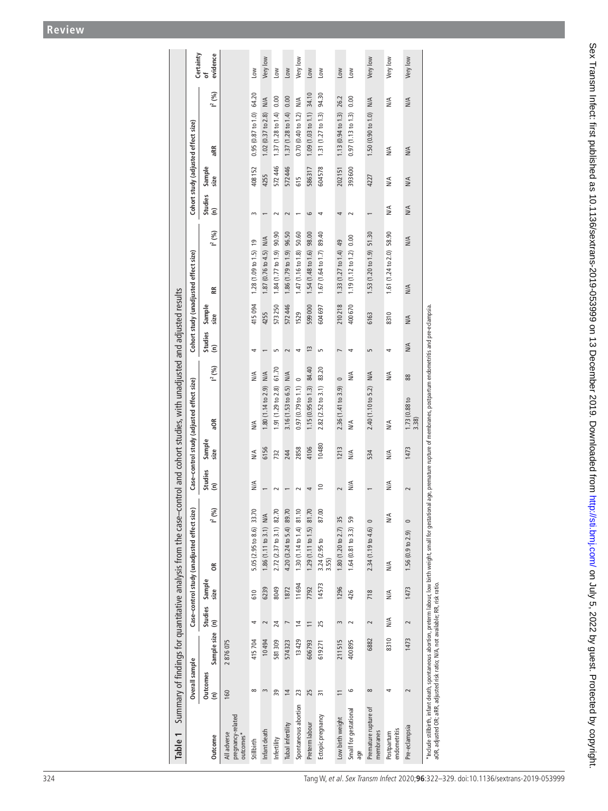<span id="page-2-0"></span>

|                                           |                                               |                           |                                 |  |                              |               |                                  | and cohort studies, with unadjusted and adjusted results |             |             |                                                                                                                                                                                                                                              |                                                                                                                                                          |
|-------------------------------------------|-----------------------------------------------|---------------------------|---------------------------------|--|------------------------------|---------------|----------------------------------|----------------------------------------------------------|-------------|-------------|----------------------------------------------------------------------------------------------------------------------------------------------------------------------------------------------------------------------------------------------|----------------------------------------------------------------------------------------------------------------------------------------------------------|
| Case-control study (adjusted effect size) | Case-control study (unadjusted effect size)   |                           |                                 |  |                              |               |                                  | Cohort study (unadjusted effect size)                    |             |             |                                                                                                                                                                                                                                              | Certainty                                                                                                                                                |
| Sample<br>size<br>Studies<br>(n)          | $1^{2} (9/6)$<br>g                            | Sample<br>size            | Studies<br>$\widehat{\epsilon}$ |  | aOR                          | $I^{2}(% )$   | size<br>Studies<br>(n)           | 똕<br>Sample                                              | $I^{2} (%)$ |             | aRR                                                                                                                                                                                                                                          | evidence<br>৳<br>$1^{2} (%)$                                                                                                                             |
|                                           |                                               |                           |                                 |  |                              |               |                                  |                                                          |             |             |                                                                                                                                                                                                                                              |                                                                                                                                                          |
| ₹<br>$\stackrel{\triangle}{\geq}$         | 33.70<br>5.05 (2.95 to 8.6)                   | 610                       | 4                               |  | ≫                            | $\frac{4}{2}$ | 4                                | $1.28(1.09 to 1.5)$ 19<br>415094                         |             |             | $0.95(0.87$ to $1.0)$                                                                                                                                                                                                                        | Low<br>64.20                                                                                                                                             |
| 6156<br>$\overline{\phantom{m}}$          | NA<br>1.86(1.11 to 3.1)                       | 6239                      | $\sim$                          |  | 1.80 (1.14 to 2.9)           | NIA           | 4255<br>$\overline{\phantom{m}}$ | 1.87 (0.76 to 4.5)                                       | NIA         |             | $1.02(0.37$ to $2.8)$                                                                                                                                                                                                                        | Very low<br>N/A                                                                                                                                          |
| 732<br>$\sim$                             | 82.70<br>2.72 (2.37 to 3.1)                   | 8049                      | $\overline{24}$                 |  | 1.91 (1.29 to 2.8)           | 61.70         | $\sqrt{2}$                       | 1.84 (1.77 to 1.9) 90.90<br>573250                       |             |             | 1.37(1.28 to 1.4)                                                                                                                                                                                                                            | Low<br>0.00                                                                                                                                              |
| 244<br>$\overline{\phantom{m}}$           | 89.70<br>4.20 (3.24 to 5.4)                   | 1872                      | $\overline{\phantom{0}}$        |  | 3.16 (1.53 to 6.5)           | NA            |                                  | 1.86 (1.79 to 1.9)<br>572446                             | 96.50       |             | 1.37(1.28 to 1.4)                                                                                                                                                                                                                            | Low<br>0.00                                                                                                                                              |
| 2858<br>$\sim$                            | 81.10<br>1.30 (1.14 to 1.4)                   | 11694                     | $\overline{4}$                  |  | 0.97(0.79 to 1.1)            | $\circ$       | 1529<br>$\rightarrow$            | 1.47(1.16 to 1.8)                                        | 50.60       |             | 0.70(0.40 to 1.2)                                                                                                                                                                                                                            | Very low<br>$\frac{1}{2}$                                                                                                                                |
| 4106<br>$\overline{\phantom{a}}$          | 81.70<br>1.29(1.11 to 1.5)                    | 7792                      | $\overline{-}$                  |  | 1.15(0.95 to 1.3)            | 84.40         | $\frac{1}{2}$                    | 1.54 (1.48 to 1.6)<br>599000                             | 98.00       |             | 1.09(1.03 to 1.1)                                                                                                                                                                                                                            | Low<br>34.10                                                                                                                                             |
| 10480<br>$\tilde{=}$                      | 87.00<br>3.24 (2.95 to<br>3.55)               | 14573                     | 25                              |  |                              | 83.20         | $\overline{5}$                   | 1.67(1.64 to 1.7)<br>604697                              | 89.40       |             | 1.31(1.27 to 1.3)                                                                                                                                                                                                                            | Low<br>94.30                                                                                                                                             |
| $\sim$                                    | $1.80(1.20 to 2.7)$ 35                        | 1296                      | $\sim$                          |  | 2.36 (1.41 to 3.9)           | $\circ$       |                                  |                                                          |             |             |                                                                                                                                                                                                                                              | Low<br>26.2                                                                                                                                              |
| N/A                                       | 59<br>1.64 (0.81 to 3.3)                      | 426                       | $\sim$                          |  | NIA                          | N/A           |                                  | 1.19 (1.12 to 1.2) 0.00<br>400670                        |             |             | 0.97(1.13 to 1.3)                                                                                                                                                                                                                            | Low<br>0.00                                                                                                                                              |
| 534<br>$\overline{\phantom{m}}$           | $\circ$<br>2.34 (1.19 to 4.6)                 | 718                       | $\sim$                          |  | 2.40 (1.10 to 5.2)           | <b>N/A</b>    | 6163<br>$\overline{5}$           | 1.53(1.20 to 1.9)                                        | 51.30       |             | 1.50(0.90 to 1.0)                                                                                                                                                                                                                            | Very low<br>$N/A$                                                                                                                                        |
| $\mathsf{N}\mathsf{M}$<br>≶∕              | $\stackrel{\triangle}{\geq}$<br>$\frac{4}{2}$ | NA                        | NA                              |  | $\stackrel{\triangle}{\geq}$ | $M\uparrow$   | 8310<br>4                        | 1.61 (1.24 to 2.0) 58.90                                 |             | $M\uparrow$ | ΝA                                                                                                                                                                                                                                           | Very low<br>ΝM                                                                                                                                           |
| 1473<br>$\sim$                            | $\circ$<br>1.56(0.9 to 2.9)                   | 1473                      | $\sim$                          |  | $\frac{1.73}{3.38}$ (0.88 to | $88$          | NIA<br>$N/A$                     | N/A                                                      | N/A         | N/A         | NIA                                                                                                                                                                                                                                          | Very low<br>NIA                                                                                                                                          |
|                                           | 1213                                          | $\mathbb{N}^{\mathbb{A}}$ |                                 |  | $2.82$ $(2.52$ to $3.1)$     |               | $\sim$<br>$\sim$ 4               | $1.33(1.27 to 1.4)$ 49<br>210218                         |             |             | 615<br>size<br>Studies<br>(n)<br>N/A<br>$\stackrel{\triangle}{\geq}$<br>$\circ$<br>4<br>$\sim$<br>$\sim$<br>$\overline{\phantom{m}}$<br>$\overline{\phantom{a}}$<br>$\sim$<br>$\overline{\phantom{m}}$<br>$\sim$<br>$\overline{\phantom{0}}$ | 1.13(0.94 to 1.3)<br>Cohort study (adjusted effect size)<br>572446<br>Sample<br>572446<br>408152<br>586317<br>393600<br>604578<br>202151<br>4255<br>4227 |

Sex Transm Infect: first published as 10.1136/sextrans-2019-053999 on 13 December 2019. Downloaded from http://sti.bmj.com/ on July 5, 2022 by guest. Protected by copyright. Sex Transm Infect: first published as 10.1136/sextrans-2019-05399 on 13 December 2019. Downloaded from Infp://sti.bmj.com/ on July 5, 2022 by guest. Protected by copyright.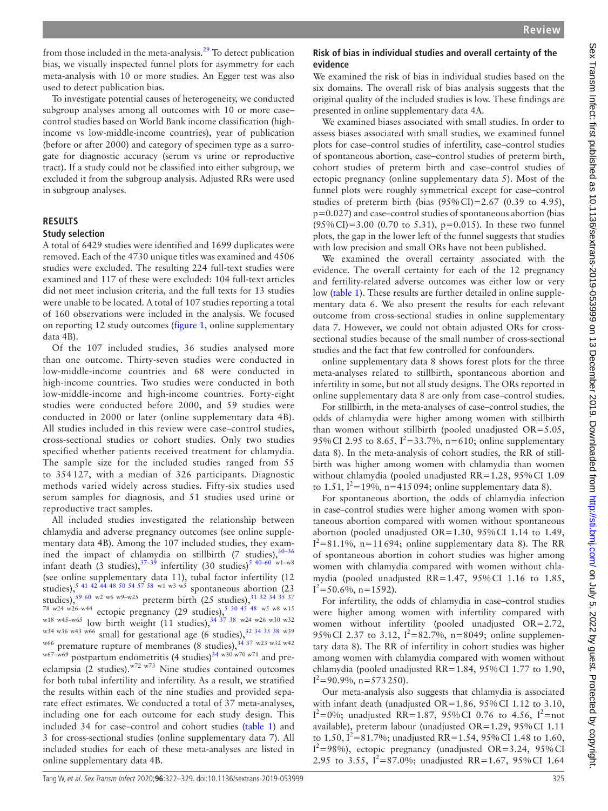from those included in the meta-analysis.<sup>29</sup> To detect publication bias, we visually inspected funnel plots for asymmetry for each meta-analysis with 10 or more studies. An Egger test was also used to detect publication bias.

To investigate potential causes of heterogeneity, we conducted subgroup analyses among all outcomes with 10 or more case– control studies based on World Bank income classification (highincome vs low-middle-income countries), year of publication (before or after 2000) and category of specimen type as a surrogate for diagnostic accuracy (serum vs urine or reproductive tract). If a study could not be classified into either subgroup, we excluded it from the subgroup analysis. Adjusted RRs were used in subgroup analyses.

## **Results**

#### **Study selection**

A total of 6429 studies were identified and 1699 duplicates were removed. Each of the 4730 unique titles was examined and 4506 studies were excluded. The resulting 224 full-text studies were examined and 117 of these were excluded: 104 full-text articles did not meet inclusion criteria, and the full texts for 13 studies were unable to be located. A total of 107 studies reporting a total of 160 observations were included in the analysis. We focused on reporting 12 study outcomes ([figure](#page-1-0) 1, online [supplementary](https://dx.doi.org/10.1136/sextrans-2019-053999)  [data 4B](https://dx.doi.org/10.1136/sextrans-2019-053999)).

Of the 107 included studies, 36 studies analysed more than one outcome. Thirty-seven studies were conducted in low-middle-income countries and 68 were conducted in high-income countries. Two studies were conducted in both low-middle-income and high-income countries. Forty-eight studies were conducted before 2000, and 59 studies were conducted in 2000 or later ([online supplementary data 4B\)](https://dx.doi.org/10.1136/sextrans-2019-053999). All studies included in this review were case–control studies, cross-sectional studies or cohort studies. Only two studies specified whether patients received treatment for chlamydia. The sample size for the included studies ranged from 55 to 354 127, with a median of 326 participants. Diagnostic methods varied widely across studies. Fifty-six studies used serum samples for diagnosis, and 51 studies used urine or reproductive tract samples.

All included studies investigated the relationship between chlamydia and adverse pregnancy outcomes (see [online supple](https://dx.doi.org/10.1136/sextrans-2019-053999)[mentary data 4B](https://dx.doi.org/10.1136/sextrans-2019-053999)). Among the 107 included studies, they examined the impact of chlamydia on stillbirth (7 studies),  $30-36$ infant death (3 studies),  $37-39$  infertility (30 studies)<sup>[5 40–60](#page-6-2)</sup> w<sup>1</sup>–w8 (see [online supplementary data 11\)](https://dx.doi.org/10.1136/sextrans-2019-053999), tubal factor infertility (12 studies),  $5^{41}$  42 44 48 50 54 57 58 w1 w3 w5 spontaneous abortion (23) studies),  $59\frac{60 \text{ w2} \text{ w6} \text{ w9-w25}}{9}$  preterm birth (25 studies),  $31\frac{32\frac{34}{35} \frac{37}{37}}{2}$ <sup>78 w24 w26-w44</sup> ectopic pregnancy (29 studies),  $5^{30}$  45 48 w5 w8 w15  $w^{18}$  w45-w65 low birth weight (11 studies),  $34\frac{37}{38}$  w24 w26 w30 w32 w<sup>34 w36 w43 w66</sup> small for gestational age (6 studies),  $32\frac{34\frac{35\frac{38}{38\frac{38}{38}}}{34\frac{37}{38\frac{38}{32}}}}$  w<sup>66</sup> premature runture of membranes (8 studies)  $34\frac{37}{37}$  w23 w32 w42 premature rupture of membranes (8 studies),  $34\frac{37 \text{ w23 w32 w42}}{99 \text{ s24}}$  $w^{67-w69}$  postpartum endometritis (4 studies)<sup>[34](#page-6-21) w30 w70 w71</sup> and preeclampsia (2 studies).w72 w73 Nine studies contained outcomes for both tubal infertility and infertility. As a result, we stratified the results within each of the nine studies and provided separate effect estimates. We conducted a total of 37 meta-analyses, including one for each outcome for each study design. This included 34 for case–control and cohort studies [\(table](#page-2-0) 1) and 3 for cross-sectional studies ([online supplementary data 7\)](https://dx.doi.org/10.1136/sextrans-2019-053999). All included studies for each of these meta-analyses are listed in [online supplementary data 4B](https://dx.doi.org/10.1136/sextrans-2019-053999).

## **Risk of bias in individual studies and overall certainty of the evidence**

We examined the risk of bias in individual studies based on the six domains. The overall risk of bias analysis suggests that the original quality of the included studies is low. These findings are presented in [online supplementary data 4A](https://dx.doi.org/10.1136/sextrans-2019-053999).

We examined biases associated with small studies. In order to assess biases associated with small studies, we examined funnel plots for case–control studies of infertility, case–control studies of spontaneous abortion, case–control studies of preterm birth, cohort studies of preterm birth and case–control studies of ectopic pregnancy [\(online supplementary data 5\)](https://dx.doi.org/10.1136/sextrans-2019-053999). Most of the funnel plots were roughly symmetrical except for case–control studies of preterm birth (bias  $(95\% \text{ CI}) = 2.67$  (0.39 to 4.95), p=0.027) and case–control studies of spontaneous abortion (bias  $(95\% \text{ CI}) = 3.00$  (0.70 to 5.31), p=0.015). In these two funnel plots, the gap in the lower left of the funnel suggests that studies with low precision and small ORs have not been published.

We examined the overall certainty associated with the evidence. The overall certainty for each of the 12 pregnancy and fertility-related adverse outcomes was either low or very low [\(table](#page-2-0) 1). These results are further detailed in [online supple](https://dx.doi.org/10.1136/sextrans-2019-053999)[mentary data 6.](https://dx.doi.org/10.1136/sextrans-2019-053999) We also present the results for each relevant outcome from cross-sectional studies in [online supplementary](https://dx.doi.org/10.1136/sextrans-2019-053999) [data 7](https://dx.doi.org/10.1136/sextrans-2019-053999). However, we could not obtain adjusted ORs for crosssectional studies because of the small number of cross-sectional studies and the fact that few controlled for confounders.

[online supplementary data 8](https://dx.doi.org/10.1136/sextrans-2019-053999) shows forest plots for the three meta-analyses related to stillbirth, spontaneous abortion and infertility in some, but not all study designs. The ORs reported in [online supplementary data 8](https://dx.doi.org/10.1136/sextrans-2019-053999) are only from case–control studies.

For stillbirth, in the meta-analyses of case–control studies, the odds of chlamydia were higher among women with stillbirth than women without stillbirth (pooled unadjusted OR=5.05, 95% CI 2.95 to 8.65,  $I^2 = 33.7\%$ , n=610; [online supplementary](https://dx.doi.org/10.1136/sextrans-2019-053999) [data 8](https://dx.doi.org/10.1136/sextrans-2019-053999)). In the meta-analysis of cohort studies, the RR of stillbirth was higher among women with chlamydia than women without chlamydia (pooled unadjusted RR=1.28, 95%CI 1.09 to 1.51,  $I^2 = 19\%$ , n=415 094; [online supplementary data 8](https://dx.doi.org/10.1136/sextrans-2019-053999)).

For spontaneous abortion, the odds of chlamydia infection in case–control studies were higher among women with spontaneous abortion compared with women without spontaneous abortion (pooled unadjusted OR=1.30, 95%CI 1.14 to 1.49,  $I^2$ =81.1%, n=11694; [online supplementary data 8](https://dx.doi.org/10.1136/sextrans-2019-053999)). The RR of spontaneous abortion in cohort studies was higher among women with chlamydia compared with women without chlamydia (pooled unadjusted RR=1.47, 95%CI 1.16 to 1.85,  $I^2$ =50.6%, n=1592).

For infertility, the odds of chlamydia in case–control studies were higher among women with infertility compared with women without infertility (pooled unadjusted OR=2.72, 95% CI 2.37 to 3.12,  $I^2 = 82.7\%$ , n=8049; [online supplemen](https://dx.doi.org/10.1136/sextrans-2019-053999)[tary data 8](https://dx.doi.org/10.1136/sextrans-2019-053999)). The RR of infertility in cohort studies was higher among women with chlamydia compared with women without chlamydia (pooled unadjusted RR=1.84, 95%CI 1.77 to 1.90,  $I^2$ =90.9%, n=573250).

Our meta-analysis also suggests that chlamydia is associated with infant death (unadjusted OR=1.86, 95%CI 1.12 to 3.10,  $I^2=0\%$ ; unadjusted RR=1.87, 95%CI 0.76 to 4.56,  $I^2=$ not available), preterm labour (unadjusted OR=1.29, 95%CI 1.11 to 1.50,  $I^2 = 81.7\%$ ; unadjusted RR=1.54, 95% CI 1.48 to 1.60,  $I^2$ =98%), ectopic pregnancy (unadjusted OR=3.24, 95% CI 2.95 to 3.55,  $\bar{1}^2 = 87.0\%$ ; unadjusted RR=1.67, 95% CI 1.64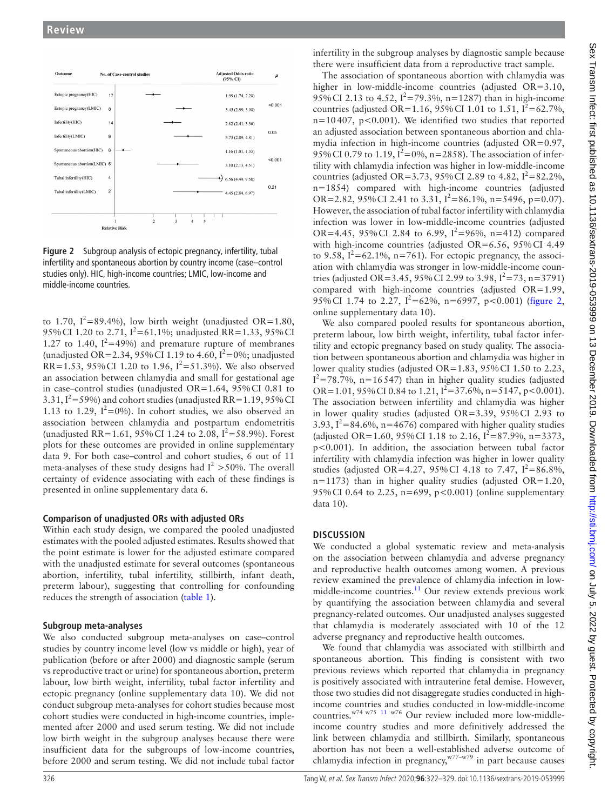

<span id="page-4-0"></span>**Figure 2** Subgroup analysis of ectopic pregnancy, infertility, tubal infertility and spontaneous abortion by country income (case–control studies only). HIC, high-income countries; LMIC, low-income and middle-income countries.

to 1.70,  $I^2 = 89.4\%$ ), low birth weight (unadjusted OR=1.80, 95% CI 1.20 to 2.71,  $I^2 = 61.1\%$ ; unadjusted RR=1.33, 95% CI 1.27 to 1.40,  $I^2$ =49%) and premature rupture of membranes (unadjusted OR=2.34, 95% CI 1.19 to 4.60,  $I^2 = 0$ %; unadjusted RR=1.53, 95% CI 1.20 to 1.96,  $I^2 = 51.3\%$ ). We also observed an association between chlamydia and small for gestational age in case–control studies (unadjusted OR=1.64, 95%CI 0.81 to 3.31,  $I^2$  = 59%) and cohort studies (unadjusted RR = 1.19, 95% CI 1.13 to 1.29,  $I^2 = 0\%$ ). In cohort studies, we also observed an association between chlamydia and postpartum endometritis (unadjusted RR=1.61, 95%CI 1.24 to 2.08, I2 *=*58.9%). Forest plots for these outcomes are provided in [online supplementary](https://dx.doi.org/10.1136/sextrans-2019-053999)  [data 9.](https://dx.doi.org/10.1136/sextrans-2019-053999) For both case–control and cohort studies, 6 out of 11 meta-analyses of these study designs had  $I^2 > 50\%$ . The overall certainty of evidence associating with each of these findings is presented in [online supplementary data 6.](https://dx.doi.org/10.1136/sextrans-2019-053999)

#### **Comparison of unadjusted ORs with adjusted ORs**

Within each study design, we compared the pooled unadjusted estimates with the pooled adjusted estimates. Results showed that the point estimate is lower for the adjusted estimate compared with the unadjusted estimate for several outcomes (spontaneous abortion, infertility, tubal infertility, stillbirth, infant death, preterm labour), suggesting that controlling for confounding reduces the strength of association [\(table](#page-2-0) 1).

# **Subgroup meta-analyses**

We also conducted subgroup meta-analyses on case–control studies by country income level (low vs middle or high), year of publication (before or after 2000) and diagnostic sample (serum vs reproductive tract or urine) for spontaneous abortion, preterm labour, low birth weight, infertility, tubal factor infertility and ectopic pregnancy ([online supplementary data 10\)](https://dx.doi.org/10.1136/sextrans-2019-053999). We did not conduct subgroup meta-analyses for cohort studies because most cohort studies were conducted in high-income countries, implemented after 2000 and used serum testing. We did not include low birth weight in the subgroup analyses because there were insufficient data for the subgroups of low-income countries, before 2000 and serum testing. We did not include tubal factor

infertility in the subgroup analyses by diagnostic sample because there were insufficient data from a reproductive tract sample.

The association of spontaneous abortion with chlamydia was higher in low-middle-income countries (adjusted OR=3.10, 95% CI 2.13 to 4.52,  $I^2 = 79.3\%$ , n=1287) than in high-income countries (adjusted OR=1.16, 95% CI 1.01 to 1.51,  $I^2 = 62.7\%$ ,  $n=10407$ ,  $p<0.001$ ). We identified two studies that reported an adjusted association between spontaneous abortion and chlamydia infection in high-income countries (adjusted OR=0.97, 95% CI 0.79 to 1.19,  $I^2 = 0\%$ , n=2858). The association of infertility with chlamydia infection was higher in low-middle-income countries (adjusted OR=3.73, 95% CI 2.89 to 4.82,  $I^2 = 82.2\%$ , n=1854) compared with high-income countries (adjusted OR=2.82, 95% CI 2.41 to 3.31,  $I^2 = 86.1\%$ , n=5496, p=0.07). However, the association of tubal factor infertility with chlamydia infection was lower in low-middle-income countries (adjusted OR=4.45, 95% CI 2.84 to 6.99,  $I^2 = 96\%$ , n=412) compared with high-income countries (adjusted OR=6.56, 95%CI 4.49 to 9.58,  $I^2$ =62.1%, n=761). For ectopic pregnancy, the association with chlamydia was stronger in low-middle-income countries (adjusted OR=3.45, 95% CI 2.99 to 3.98,  $I^2 = 73$ , n=3791) compared with high-income countries (adjusted OR=1.99, 95% CI 1.74 to 2.27,  $I^2 = 62\%$ , n=6997, p<0.001) [\(figure](#page-4-0) 2, online [supplementary data 10](https://dx.doi.org/10.1136/sextrans-2019-053999)).

We also compared pooled results for spontaneous abortion, preterm labour, low birth weight, infertility, tubal factor infertility and ectopic pregnancy based on study quality. The association between spontaneous abortion and chlamydia was higher in lower quality studies (adjusted OR=1.83, 95%CI 1.50 to 2.23,  $I^2$ =78.7%, n=16547) than in higher quality studies (adjusted OR=1.01, 95% CI 0.84 to 1.21,  $I^2$ =37.6%, n=5147, p<0.001). The association between infertility and chlamydia was higher in lower quality studies (adjusted OR=3.39, 95%CI 2.93 to 3.93,  $I^2 = 84.6\%$ , n=4676) compared with higher quality studies (adjusted OR=1.60, 95% CI 1.18 to 2.16,  $I^2 = 87.9\%$ , n=3373, p<0.001). In addition, the association between tubal factor infertility with chlamydia infection was higher in lower quality studies (adjusted OR=4.27, 95% CI 4.18 to 7.47,  $I^2 = 86.8\%$ ,  $n=1173$ ) than in higher quality studies (adjusted OR=1.20, 95%CI 0.64 to 2.25, n=699, p<0.001) ([online supplementary](https://dx.doi.org/10.1136/sextrans-2019-053999) [data 10\)](https://dx.doi.org/10.1136/sextrans-2019-053999).

# **Discussion**

We conducted a global systematic review and meta-analysis on the association between chlamydia and adverse pregnancy and reproductive health outcomes among women. A previous review examined the prevalence of chlamydia infection in low-middle-income countries.<sup>[11](#page-6-4)</sup> Our review extends previous work by quantifying the association between chlamydia and several pregnancy-related outcomes. Our unadjusted analyses suggested that chlamydia is moderately associated with 10 of the 12 adverse pregnancy and reproductive health outcomes.

We found that chlamydia was associated with stillbirth and spontaneous abortion. This finding is consistent with two previous reviews which reported that chlamydia in pregnancy is positively associated with intrauterine fetal demise. However, those two studies did not disaggregate studies conducted in highincome countries and studies conducted in low-middle-income countries.w74 w75 [11](#page-6-4) w76 Our review included more low-middleincome country studies and more definitively addressed the link between chlamydia and stillbirth. Similarly, spontaneous abortion has not been a well-established adverse outcome of chlamydia infection in pregnancy, $w^{77-w79}$  in part because causes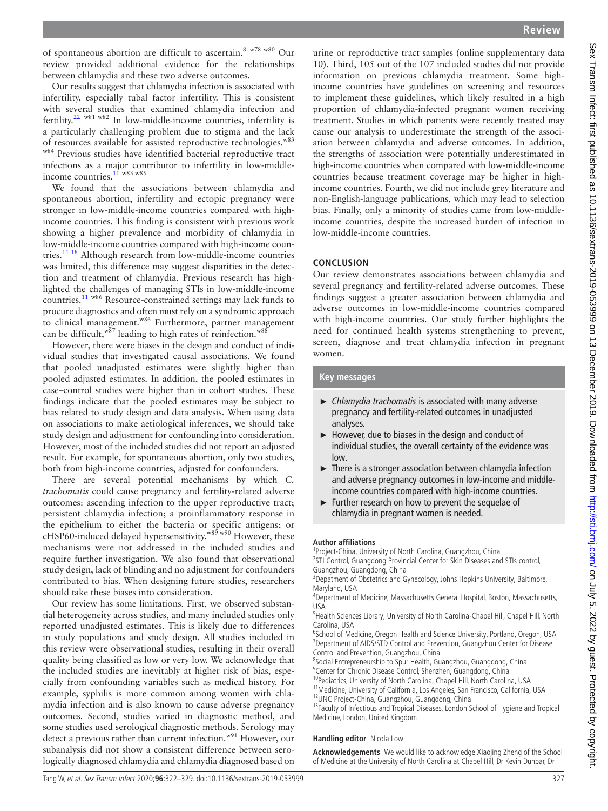of spontaneous abortion are difficult to ascertain[.8](#page-6-3) w78 w80 Our review provided additional evidence for the relationships between chlamydia and these two adverse outcomes.

Our results suggest that chlamydia infection is associated with infertility, especially tubal factor infertility. This is consistent with several studies that examined chlamydia infection and fertility.[22](#page-6-11) w81 w82 In low-middle-income countries, infertility is a particularly challenging problem due to stigma and the lack of resources available for assisted reproductive technologies.<sup>w83</sup> w84 Previous studies have identified bacterial reproductive tract infections as a major contributor to infertility in low-middleincome countries.<sup>11</sup> w83 w85

We found that the associations between chlamydia and spontaneous abortion, infertility and ectopic pregnancy were stronger in low-middle-income countries compared with highincome countries. This finding is consistent with previous work showing a higher prevalence and morbidity of chlamydia in low-middle-income countries compared with high-income countries.[11 18](#page-6-4) Although research from low-middle-income countries was limited, this difference may suggest disparities in the detection and treatment of chlamydia. Previous research has highlighted the challenges of managing STIs in low-middle-income countries.[11](#page-6-4) w86 Resource-constrained settings may lack funds to procure diagnostics and often must rely on a syndromic approach to clinical management.<sup>w86</sup> Furthermore, partner management can be difficult,  $w^{87}$  leading to high rates of reinfection. $w^{88}$ 

However, there were biases in the design and conduct of individual studies that investigated causal associations. We found that pooled unadjusted estimates were slightly higher than pooled adjusted estimates. In addition, the pooled estimates in case–control studies were higher than in cohort studies. These findings indicate that the pooled estimates may be subject to bias related to study design and data analysis. When using data on associations to make aetiological inferences, we should take study design and adjustment for confounding into consideration. However, most of the included studies did not report an adjusted result. For example, for spontaneous abortion, only two studies, both from high-income countries, adjusted for confounders.

There are several potential mechanisms by which *C. trachomatis* could cause pregnancy and fertility-related adverse outcomes: ascending infection to the upper reproductive tract; persistent chlamydia infection; a proinflammatory response in the epithelium to either the bacteria or specific antigens; or cHSP60-induced delayed hypersensitivity.<sup>w89 w90</sup> However, these mechanisms were not addressed in the included studies and require further investigation. We also found that observational study design, lack of blinding and no adjustment for confounders contributed to bias. When designing future studies, researchers should take these biases into consideration.

Our review has some limitations. First, we observed substantial heterogeneity across studies, and many included studies only reported unadjusted estimates. This is likely due to differences in study populations and study design. All studies included in this review were observational studies, resulting in their overall quality being classified as low or very low. We acknowledge that the included studies are inevitably at higher risk of bias, especially from confounding variables such as medical history. For example, syphilis is more common among women with chlamydia infection and is also known to cause adverse pregnancy outcomes. Second, studies varied in diagnostic method, and some studies used serological diagnostic methods. Serology may detect a previous rather than current infection.<sup>w91</sup> However, our subanalysis did not show a consistent difference between serologically diagnosed chlamydia and chlamydia diagnosed based on

urine or reproductive tract samples [\(online supplementary data](https://dx.doi.org/10.1136/sextrans-2019-053999) [10\)](https://dx.doi.org/10.1136/sextrans-2019-053999). Third, 105 out of the 107 included studies did not provide information on previous chlamydia treatment. Some highincome countries have guidelines on screening and resources to implement these guidelines, which likely resulted in a high proportion of chlamydia-infected pregnant women receiving treatment. Studies in which patients were recently treated may cause our analysis to underestimate the strength of the association between chlamydia and adverse outcomes. In addition, the strengths of association were potentially underestimated in high-income countries when compared with low-middle-income countries because treatment coverage may be higher in highincome countries. Fourth, we did not include grey literature and non-English-language publications, which may lead to selection bias. Finally, only a minority of studies came from low-middleincome countries, despite the increased burden of infection in low-middle-income countries.

## **Conclusion**

Our review demonstrates associations between chlamydia and several pregnancy and fertility-related adverse outcomes. These findings suggest a greater association between chlamydia and adverse outcomes in low-middle-income countries compared with high-income countries. Our study further highlights the need for continued health systems strengthening to prevent, screen, diagnose and treat chlamydia infection in pregnant women.

### **Key messages**

- ► *Chlamydia trachomatis* is associated with many adverse pregnancy and fertility-related outcomes in unadjusted analyses.
- ► However, due to biases in the design and conduct of individual studies, the overall certainty of the evidence was low.
- $\blacktriangleright$  There is a stronger association between chlamydia infection and adverse pregnancy outcomes in low-income and middleincome countries compared with high-income countries.
- ► Further research on how to prevent the sequelae of chlamydia in pregnant women is needed.

#### **Author affiliations**

<sup>1</sup> Project-China, University of North Carolina, Guangzhou, China<br><sup>2</sup>STL Control, Guangdong Provincial Conter for Skin Diseases an <sup>2</sup>STI Control, Guangdong Provincial Center for Skin Diseases and STIs control, Guangzhou, Guangdong, China

<sup>3</sup>Depatment of Obstetrics and Gynecology, Johns Hopkins University, Baltimore, Maryland, USA

4 Department of Medicine, Massachusetts General Hospital, Boston, Massachusetts, USA

<sup>5</sup> Health Sciences Library, University of North Carolina-Chapel Hill, Chapel Hill, North Carolina, USA

<sup>6</sup>School of Medicine, Oregon Health and Science University, Portland, Oregon, USA <sup>7</sup>Department of AIDS/STD Control and Prevention, Guangzhou Center for Disease Control and Prevention, Guangzhou, China

<sup>8</sup>Social Entrepreneurship to Spur Health, Guangzhou, Guangdong, China <sup>9</sup> Center for Chronic Disease Control, Shenzhen, Guangdong, China

<sup>10</sup>Pediatrics, University of North Carolina, Chapel Hill, North Carolina, USA <sup>11</sup>Medicine, University of California, Los Angeles, San Francisco, California, USA<br><sup>12</sup>UNC Project-China, Guangzhou, Guangdong, China

<sup>13</sup>Faculty of Infectious and Tropical Diseases, London School of Hygiene and Tropical Medicine, London, United Kingdom

#### **Handling editor** Nicola Low

**Acknowledgements** We would like to acknowledge Xiaojing Zheng of the School of Medicine at the University of North Carolina at Chapel Hill, Dr Kevin Dunbar, Dr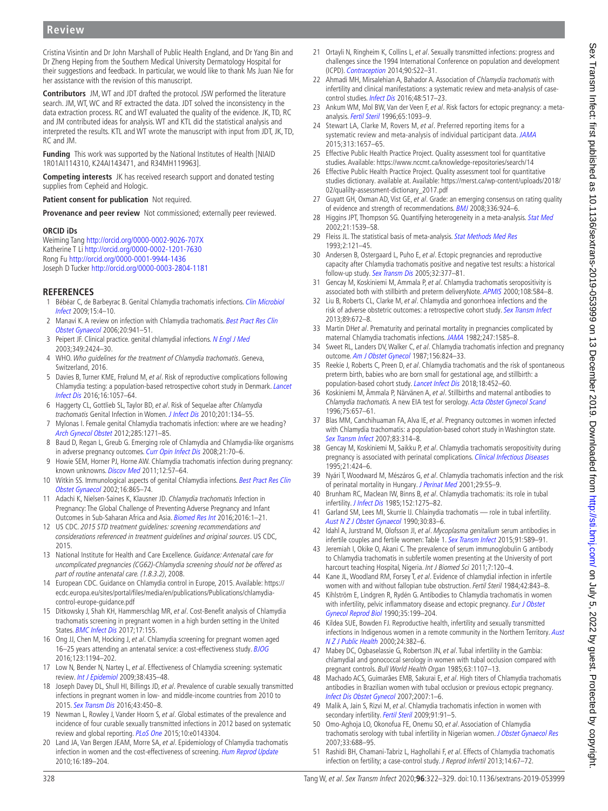# **Review**

Cristina Visintin and Dr John Marshall of Public Health England, and Dr Yang Bin and Dr Zheng Heping from the Southern Medical University Dermatology Hospital for their suggestions and feedback. In particular, we would like to thank Ms Juan Nie for her assistance with the revision of this manuscript.

**Contributors** JM, WT and JDT drafted the protocol. JSW performed the literature search. JM, WT, WC and RF extracted the data. JDT solved the inconsistency in the data extraction process. RC and WT evaluated the quality of the evidence. JK, TD, RC and JM contributed ideas for analysis. WT and KTL did the statistical analysis and interpreted the results. KTL and WT wrote the manuscript with input from JDT, JK, TD, RC and JM.

**Funding** This work was supported by the National Institutes of Health [NIAID 1R01AI114310, K24AI143471, and R34MH119963].

**Competing interests** JK has received research support and donated testing supplies from Cepheid and Hologic.

**Patient consent for publication** Not required.

**Provenance and peer review** Not commissioned; externally peer reviewed.

#### **ORCID iDs**

Weiming Tang <http://orcid.org/0000-0002-9026-707X> Katherine T Li<http://orcid.org/0000-0002-1201-7630> Rong Fu <http://orcid.org/0000-0001-9944-1436> Joseph D Tucker <http://orcid.org/0000-0003-2804-1181>

#### **References**

- <span id="page-6-0"></span>Bébéar C, de Barbeyrac B. Genital Chlamydia trachomatis infections. Clin Microbiol [Infect](http://dx.doi.org/10.1111/j.1469-0691.2008.02647.x) 2009;15:4–10.
- 2 Manavi K. A review on infection with Chlamydia trachomatis. Best Pract Res Clin [Obstet Gynaecol](http://dx.doi.org/10.1016/j.bpobgyn.2006.06.003) 2006;20:941–51.
- 3 Peipert JF. Clinical practice. genital chlamydial infections. [N Engl J Med](http://dx.doi.org/10.1056/NEJMcp030542) 2003;349:2424–30.
- <span id="page-6-1"></span>4 WHO. Who guidelines for the treatment of Chlamydia trachomatis. Geneva, Switzerland, 2016.
- <span id="page-6-2"></span>5 Davies B, Turner KME, Frølund M, et al. Risk of reproductive complications following Chlamydia testing: a population-based retrospective cohort study in Denmark. [Lancet](http://dx.doi.org/10.1016/S1473-3099(16)30092-5)  [Infect Dis](http://dx.doi.org/10.1016/S1473-3099(16)30092-5) 2016;16:1057–64.
- 6 Haggerty CL, Gottlieb SL, Taylor BD, et al. Risk of Sequelae after Chlamydia trachomatis Genital Infection in Women. [J Infect Dis](http://dx.doi.org/10.1086/652395) 2010;201:134-55.
- 7 Mylonas I. Female genital Chlamydia trachomatis infection: where are we heading? [Arch Gynecol Obstet](http://dx.doi.org/10.1007/s00404-012-2240-7) 2012;285:1271–85.
- <span id="page-6-3"></span>8 Baud D, Regan L, Greub G. Emerging role of Chlamydia and Chlamydia-like organisms in adverse pregnancy outcomes. [Curr Opin Infect Dis](http://dx.doi.org/10.1097/QCO.0b013e3282f3e6a5) 2008;21:70-6.
- 9 Howie SEM, Horner PJ, Horne AW. Chlamydia trachomatis infection during pregnancy: known unknowns. [Discov Med](http://www.ncbi.nlm.nih.gov/pubmed/21794209) 2011;12:57-64.
- 10 Witkin SS. Immunological aspects of genital Chlamydia infections. Best Pract Res Clin [Obstet Gynaecol](http://dx.doi.org/10.1053/beog.2002.0326) 2002;16:865–74.
- <span id="page-6-4"></span>11 Adachi K, Nielsen-Saines K, Klausner JD. Chlamydia trachomatis Infection in Pregnancy: The Global Challenge of Preventing Adverse Pregnancy and Infant Outcomes in Sub-Saharan Africa and Asia. [Biomed Res Int](http://dx.doi.org/10.1155/2016/9315757) 2016;2016:1–21.
- <span id="page-6-5"></span>12 US CDC. 2015 STD treatment guidelines: screening recommendations and considerations referenced in treatment guidelines and original sources. US CDC, 2015.
- <span id="page-6-6"></span>13 National Institute for Health and Care Excellence. Guidance: Antenatal care for uncomplicated pregnancies (CG62)-Chlamydia screening should not be offered as part of routine antenatal care. (1.8.3.2), 2008.
- <span id="page-6-7"></span>14 European CDC. Guidance on Chlamydia control in Europe, 2015. Available: [https://](https://ecdc.europa.eu/sites/portal/files/media/en/publications/Publications/chlamydia-control-europe-guidance.pdf) [ecdc.europa.eu/sites/portal/files/media/en/publications/Publications/chlamydia](https://ecdc.europa.eu/sites/portal/files/media/en/publications/Publications/chlamydia-control-europe-guidance.pdf)[control-europe-guidance.pdf](https://ecdc.europa.eu/sites/portal/files/media/en/publications/Publications/chlamydia-control-europe-guidance.pdf)
- <span id="page-6-8"></span>15 Ditkowsky J, Shah KH, Hammerschlag MR, et al. Cost-Benefit analysis of Chlamydia trachomatis screening in pregnant women in a high burden setting in the United States. [BMC Infect Dis](http://dx.doi.org/10.1186/s12879-017-2248-5) 2017;17:155.
- 16 Ong JJ, Chen M, Hocking J, et al. Chlamydia screening for pregnant women aged 16–25 years attending an antenatal service: a cost-effectiveness study. [BJOG](http://dx.doi.org/10.1111/1471-0528.13567) 2016;123:1194–202.
- 17 Low N, Bender N, Nartey L, et al. Effectiveness of Chlamydia screening: systematic review. *[Int J Epidemiol](http://dx.doi.org/10.1093/ije/dyn222)* 2009;38:435-48.
- <span id="page-6-9"></span>18 Joseph Davey DL, Shull HI, Billings JD, et al. Prevalence of curable sexually transmitted infections in pregnant women in low- and middle-income countries from 2010 to 2015. [Sex Transm Dis](http://dx.doi.org/10.1097/OLQ.0000000000000460) 2016;43:450–8.
- 19 Newman L, Rowley J, Vander Hoorn S, et al. Global estimates of the prevalence and incidence of four curable sexually transmitted infections in 2012 based on systematic review and global reporting. [PLoS One](http://dx.doi.org/10.1371/journal.pone.0143304) 2015;10:e0143304.
- <span id="page-6-10"></span>20 Land JA, Van Bergen JEAM, Morre SA, et al. Epidemiology of Chlamydia trachomatis infection in women and the cost-effectiveness of screening. [Hum Reprod Update](http://dx.doi.org/10.1093/humupd/dmp035) 2010;16:189–204.
- 21 Ortayli N, Ringheim K, Collins L, et al. Sexually transmitted infections: progress and challenges since the 1994 International Conference on population and development (ICPD). [Contraception](http://dx.doi.org/10.1016/j.contraception.2014.06.024) 2014;90:S22–31.
- <span id="page-6-11"></span>22 Ahmadi MH, Mirsalehian A, Bahador A. Association of Chlamydia trachomatis with infertility and clinical manifestations: a systematic review and meta-analysis of casecontrol studies. *[Infect Dis](http://dx.doi.org/10.3109/23744235.2016.1160421)* 2016:48:517-23.
- 23 Ankum WM, Mol BW, Van der Veen F, et al. Risk factors for ectopic pregnancy: a metaanalysis. [Fertil Steril](http://www.ncbi.nlm.nih.gov/pubmed/8641479) 1996;65:1093–9.
- <span id="page-6-12"></span>24 Stewart LA, Clarke M, Rovers M, et al. Preferred reporting items for a systematic review and meta-analysis of individual participant data. [JAMA](http://dx.doi.org/10.1001/jama.2015.3656) 2015;313:1657–65.
- <span id="page-6-13"></span>25 Effective Public Health Practice Project. Quality assessment tool for quantitative studies. Available:<https://www.nccmt.ca/knowledge-repositories/search/14>
- <span id="page-6-14"></span>26 Effective Public Health Practice Project. Quality assessment tool for quantitative studies dictionary. available at. Available: [https://merst.ca/wp-content/uploads/2018/](https://merst.ca/wp-content/uploads/2018/02/qualilty-assessment-dictionary_2017.pdf) [02/qualilty-assessment-dictionary\\_2017.pdf](https://merst.ca/wp-content/uploads/2018/02/qualilty-assessment-dictionary_2017.pdf)
- <span id="page-6-15"></span>27 Guyatt GH, Oxman AD, Vist GE, et al. Grade: an emerging consensus on rating quality of evidence and strength of recommendations. **[BMJ](http://dx.doi.org/10.1136/bmj.39489.470347.AD)** 2008;336:924-6.
- <span id="page-6-16"></span>28 Higgins JPT, Thompson SG. Quantifying heterogeneity in a meta-analysis. [Stat Med](http://dx.doi.org/10.1002/sim.1186) 2002;21:1539–58.
- <span id="page-6-17"></span>29 Fleiss JL. The statistical basis of meta-analysis. [Stat Methods Med Res](http://dx.doi.org/10.1177/096228029300200202) 1993;2:121–45.
- <span id="page-6-18"></span>30 Andersen B, Ostergaard L, Puho E, et al. Ectopic pregnancies and reproductive capacity after Chlamydia trachomatis positive and negative test results: a historical follow-up study. [Sex Transm Dis](http://dx.doi.org/10.1097/01.olq.0000154512.86651.07) 2005;32:377–81.
- <span id="page-6-20"></span>31 Gencay M, Koskiniemi M, Ammala P, et al. Chlamydia trachomatis seropositivity is associated both with stillbirth and preterm deliveryNote. [APMIS](http://dx.doi.org/10.1034/j.1600-0463.2000.d01-101.x) 2000;108:584-8.
- <span id="page-6-22"></span>32 Liu B, Roberts CL, Clarke M, et al. Chlamydia and gonorrhoea infections and the risk of adverse obstetric outcomes: a retrospective cohort study. [Sex Transm Infect](http://dx.doi.org/10.1136/sextrans-2013-051118) 2013;89:672–8.
- 33 Martin DHet al. Prematurity and perinatal mortality in pregnancies complicated by maternal Chlamydia trachomatis infections. [JAMA](http://dx.doi.org/10.1001/jama.1982.03320360035027) 1982;247:1585–8.
- <span id="page-6-21"></span>34 Sweet RL, Landers DV, Walker C, et al. Chlamydia trachomatis infection and pregnancy outcome. [Am J Obstet Gynecol](http://dx.doi.org/10.1016/0002-9378(87)90338-3) 1987;156:824–33.
- 35 Reekie J, Roberts C, Preen D, et al. Chlamydia trachomatis and the risk of spontaneous preterm birth, babies who are born small for gestational age, and stillbirth: a population-based cohort study. [Lancet Infect Dis](http://dx.doi.org/10.1016/S1473-3099(18)30045-8) 2018;18:452–60.
- 36 Koskiniemi M, Ämmala P, Närvänen A, et al. Stillbirths and maternal antibodies to Chlamydia trachomatis. A new EIA test for serology. [Acta Obstet Gynecol Scand](http://dx.doi.org/10.3109/00016349609054693) 1996;75:657–61.
- <span id="page-6-19"></span>37 Blas MM, Canchihuaman FA, Alva IE, et al. Pregnancy outcomes in women infected with Chlamydia trachomatis: a population-based cohort study in Washington state. [Sex Transm Infect](http://dx.doi.org/10.1136/sti.2006.022665) 2007;83:314–8.
- 38 Gencay M, Koskiniemi M, Saikku P, et al. Chlamydia trachomatis seropositivity during pregnancy is associated with perinatal complications. [Clinical Infectious Diseases](http://dx.doi.org/10.1093/clinids/21.2.424) 1995;21:424–6.
- 39 Nyári T, Woodward M, Mészáros G, et al. Chlamydia trachomatis infection and the risk of perinatal mortality in Hungary. [J Perinat Med](http://dx.doi.org/10.1515/JPM.2001.007) 2001;29:55-9.
- 40 Brunham RC, Maclean IW, Binns B, et al. Chlamydia trachomatis: its role in tubal infertility. *[J Infect Dis](http://dx.doi.org/10.1093/infdis/152.6.1275)* 1985;152:1275-82.
- 41 Garland SM, Lees MI, Skurrie IJ. Chlainydia trachomatis role in tubal infertility. [Aust N Z J Obstet Gynaecol](http://dx.doi.org/10.1111/j.1479-828X.1990.tb03205.x) 1990;30:83–6.
- 42 Idahl A, Jurstrand M, Olofsson JI, et al. Mycoplasma genitalium serum antibodies in infertile couples and fertile women: Table 1. [Sex Transm Infect](http://dx.doi.org/10.1136/sextrans-2015-052011) 2015;91:589–91.
- 43 Jeremiah I, Okike O, Akani C. The prevalence of serum immunoglobulin G antibody to Chlamydia trachomatis in subfertile women presenting at the University of port harcourt teaching Hospital, Nigeria. Int J Biomed Sci 2011;7:120-4.
- 44 Kane JL, Woodland RM, Forsey T, et al. Evidence of chlamydial infection in infertile women with and without fallopian tube obstruction. Fertil Steril 1984;42:843–8.
- 45 Kihlström E, Lindgren R, Rydén G. Antibodies to Chlamydia trachomatis in women with infertility, pelvic inflammatory disease and ectopic pregnancy. Eur J Obstet [Gynecol Reprod Biol](http://dx.doi.org/10.1016/0028-2243(90)90162-T) 1990;35:199–204.
- 46 Kildea SUE, Bowden FJ. Reproductive health, infertility and sexually transmitted infections in Indigenous women in a remote community in the Northern Territory. [Aust](http://dx.doi.org/10.1111/j.1467-842X.2000.tb01598.x) [N Z J Public Health](http://dx.doi.org/10.1111/j.1467-842X.2000.tb01598.x) 2000;24:382–6.
- 47 Mabey DC, Ogbaselassie G, Robertson JN, et al. Tubal infertility in the Gambia: chlamydial and gonococcal serology in women with tubal occlusion compared with pregnant controls. Bull World Health Organ 1985;63:1107–13.
- 48 Machado ACS, Guimarães EMB, Sakurai E, et al. High titers of Chlamydia trachomatis antibodies in Brazilian women with tubal occlusion or previous ectopic pregnancy. [Infect Dis Obstet Gynecol](http://dx.doi.org/10.1155/2007/24816) 2007;2007:1–6.
- 49 Malik A, Jain S, Rizvi M, et al. Chlamydia trachomatis infection in women with secondary infertility. [Fertil Steril](http://dx.doi.org/10.1016/j.fertnstert.2007.05.070) 2009;91:91-5.
- 50 Omo-Aghoja LO, Okonofua FE, Onemu SO, et al. Association of Chlamydia trachomatis serology with tubal infertility in Nigerian women. [J Obstet Gynaecol Res](http://dx.doi.org/10.1111/j.1447-0756.2007.00633.x) 2007;33:688–95.
- 51 Rashidi BH, Chamani-Tabriz L, Haghollahi F, et al. Effects of Chlamydia trachomatis infection on fertility; a case-control study. J Reprod Infertil 2013;14:67–72.